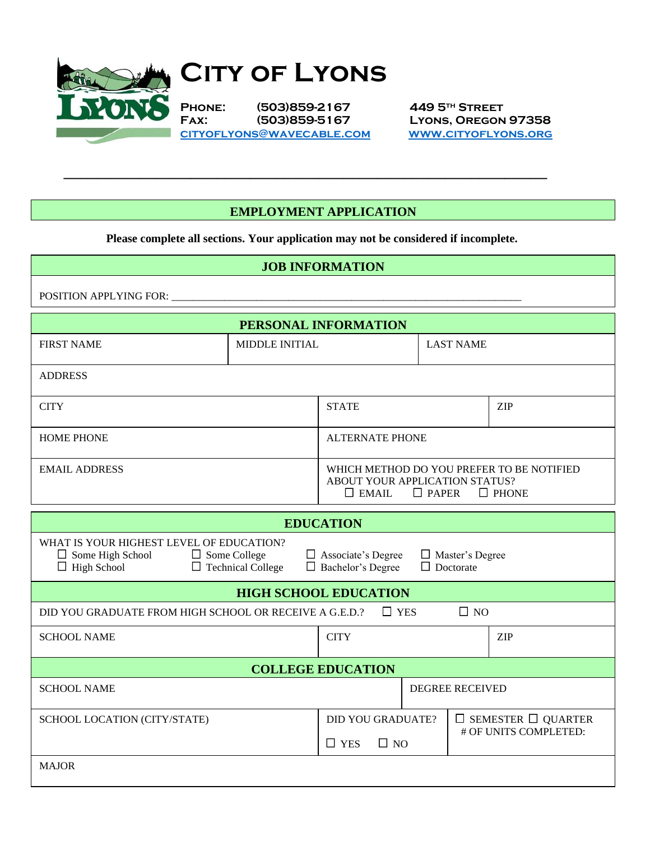

# **CITY OF LYONS**

**Phone: (503)859-2167 449 5th Street Fax: (503)859-5167 Lyons, Oregon 97358 [cityoflyons@wavecable.com](mailto:cityoflyons@wavecable.com) [www.cityoflyons.org](http://www.cityoflyons.org/)**

#### **EMPLOYMENT APPLICATION**

**Please complete all sections. Your application may not be considered if incomplete.**

 $\mathcal{L}_\text{max}$  , and the contract of the contract of the contract of the contract of the contract of the contract of the contract of the contract of the contract of the contract of the contract of the contract of the contr

| <b>JOB INFORMATION</b>                                                                                                                                                                                                                              |                        |                                                                                                                             |  |                                                         |  |  |
|-----------------------------------------------------------------------------------------------------------------------------------------------------------------------------------------------------------------------------------------------------|------------------------|-----------------------------------------------------------------------------------------------------------------------------|--|---------------------------------------------------------|--|--|
| POSITION APPLYING FOR:                                                                                                                                                                                                                              |                        |                                                                                                                             |  |                                                         |  |  |
|                                                                                                                                                                                                                                                     |                        | PERSONAL INFORMATION                                                                                                        |  |                                                         |  |  |
| <b>FIRST NAME</b>                                                                                                                                                                                                                                   | MIDDLE INITIAL         | <b>LAST NAME</b>                                                                                                            |  |                                                         |  |  |
| <b>ADDRESS</b>                                                                                                                                                                                                                                      |                        |                                                                                                                             |  |                                                         |  |  |
| <b>CITY</b>                                                                                                                                                                                                                                         |                        | <b>STATE</b>                                                                                                                |  | <b>ZIP</b>                                              |  |  |
| <b>HOME PHONE</b>                                                                                                                                                                                                                                   |                        | <b>ALTERNATE PHONE</b>                                                                                                      |  |                                                         |  |  |
| <b>EMAIL ADDRESS</b>                                                                                                                                                                                                                                |                        | WHICH METHOD DO YOU PREFER TO BE NOTIFIED<br>ABOUT YOUR APPLICATION STATUS?<br>$\Box$ EMAIL<br>$\Box$ PAPER<br>$\Box$ PHONE |  |                                                         |  |  |
| <b>EDUCATION</b>                                                                                                                                                                                                                                    |                        |                                                                                                                             |  |                                                         |  |  |
| WHAT IS YOUR HIGHEST LEVEL OF EDUCATION?<br>$\Box$ Associate's Degree<br>$\Box$ Some High School<br>$\Box$ Some College<br>$\Box$ Master's Degree<br>$\Box$ Doctorate<br>$\Box$ High School<br>$\Box$ Technical College<br>$\Box$ Bachelor's Degree |                        |                                                                                                                             |  |                                                         |  |  |
| <b>HIGH SCHOOL EDUCATION</b>                                                                                                                                                                                                                        |                        |                                                                                                                             |  |                                                         |  |  |
| $\square$ NO<br>DID YOU GRADUATE FROM HIGH SCHOOL OR RECEIVE A G.E.D.?<br>$\Box$ YES                                                                                                                                                                |                        |                                                                                                                             |  |                                                         |  |  |
| <b>SCHOOL NAME</b>                                                                                                                                                                                                                                  |                        | <b>CITY</b>                                                                                                                 |  | <b>ZIP</b>                                              |  |  |
| <b>COLLEGE EDUCATION</b>                                                                                                                                                                                                                            |                        |                                                                                                                             |  |                                                         |  |  |
| <b>SCHOOL NAME</b>                                                                                                                                                                                                                                  | <b>DEGREE RECEIVED</b> |                                                                                                                             |  |                                                         |  |  |
| SCHOOL LOCATION (CITY/STATE)                                                                                                                                                                                                                        |                        | <b>DID YOU GRADUATE?</b>                                                                                                    |  | $\Box$ SEMESTER $\Box$ QUARTER<br># OF UNITS COMPLETED: |  |  |
|                                                                                                                                                                                                                                                     |                        | $\Box$ YES<br>$\Box$ NO                                                                                                     |  |                                                         |  |  |
| <b>MAJOR</b>                                                                                                                                                                                                                                        |                        |                                                                                                                             |  |                                                         |  |  |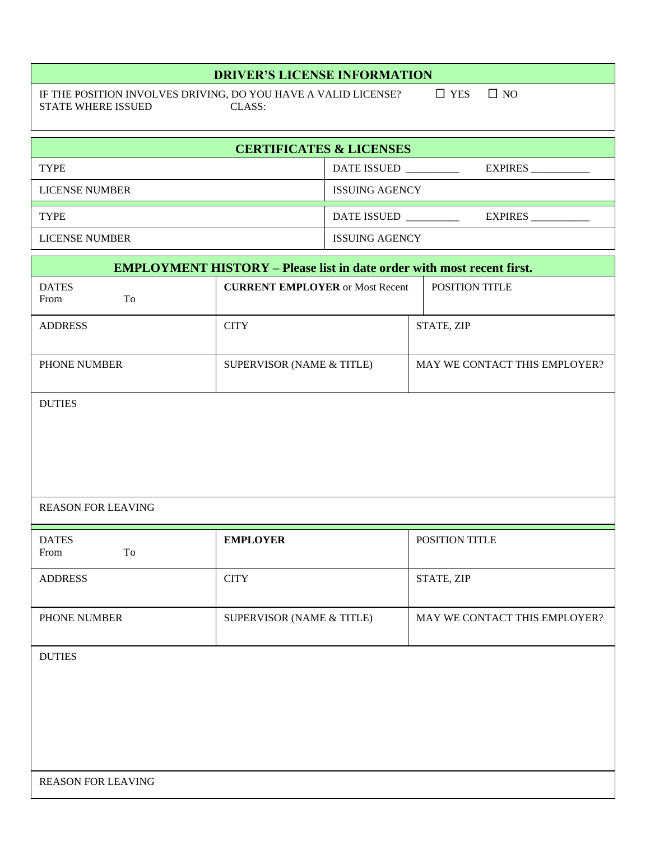### **DRIVER'S LICENSE INFORMATION**

IF THE POSITION INVOLVES DRIVING, DO YOU HAVE A VALID LICENSE?  $\square$  YES  $\square$  NO STATE WHERE ISSUED CLASS: STATE WHERE ISSUED

| <b>CERTIFICATES &amp; LICENSES</b> |                                      |  |  |  |
|------------------------------------|--------------------------------------|--|--|--|
| <b>TYPE</b>                        | <b>DATE ISSUED</b><br><b>EXPIRES</b> |  |  |  |
| <b>LICENSE NUMBER</b>              | <b>ISSUING AGENCY</b>                |  |  |  |
| <b>TYPE</b>                        | <b>EXPIRES</b><br><b>DATE ISSUED</b> |  |  |  |
| <b>LICENSE NUMBER</b>              | <b>ISSUING AGENCY</b>                |  |  |  |

| <b>EMPLOYMENT HISTORY – Please list in date order with most recent first.</b> |                                        |                               |  |  |  |
|-------------------------------------------------------------------------------|----------------------------------------|-------------------------------|--|--|--|
| <b>DATES</b><br>To<br>From                                                    | <b>CURRENT EMPLOYER or Most Recent</b> | POSITION TITLE                |  |  |  |
| <b>ADDRESS</b>                                                                | <b>CITY</b>                            | STATE, ZIP                    |  |  |  |
| PHONE NUMBER                                                                  | SUPERVISOR (NAME & TITLE)              | MAY WE CONTACT THIS EMPLOYER? |  |  |  |
| <b>DUTIES</b>                                                                 |                                        |                               |  |  |  |
| <b>REASON FOR LEAVING</b>                                                     |                                        |                               |  |  |  |
| <b>DATES</b><br>To<br>From                                                    | <b>EMPLOYER</b>                        | POSITION TITLE                |  |  |  |
| <b>ADDRESS</b>                                                                | <b>CITY</b>                            | STATE, ZIP                    |  |  |  |
| PHONE NUMBER                                                                  | SUPERVISOR (NAME & TITLE)              | MAY WE CONTACT THIS EMPLOYER? |  |  |  |
| <b>DUTIES</b><br><b>REASON FOR LEAVING</b>                                    |                                        |                               |  |  |  |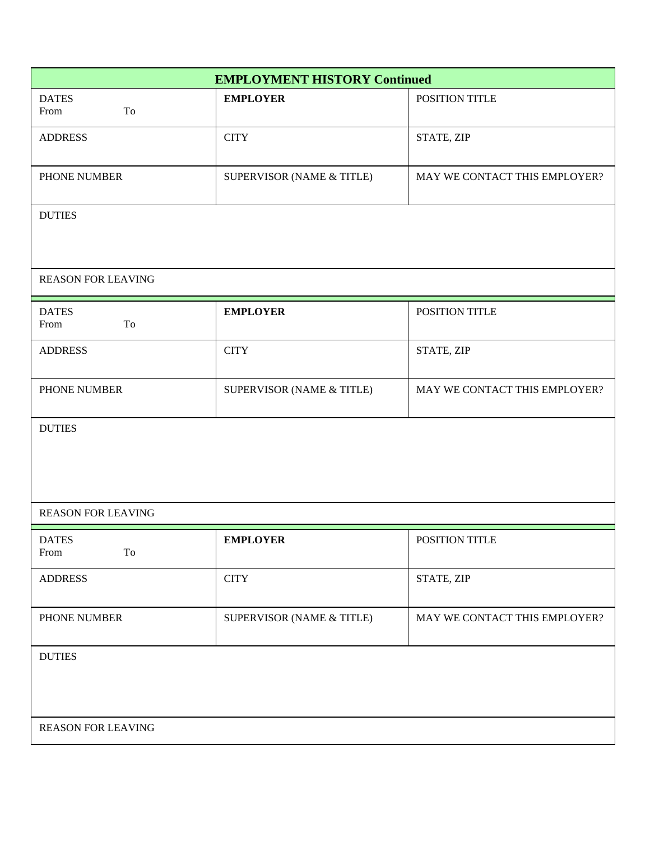| <b>EMPLOYMENT HISTORY Continued</b> |                           |                               |  |  |
|-------------------------------------|---------------------------|-------------------------------|--|--|
| <b>DATES</b><br>To<br>From          | <b>EMPLOYER</b>           | POSITION TITLE                |  |  |
| <b>ADDRESS</b>                      | <b>CITY</b>               | STATE, ZIP                    |  |  |
| PHONE NUMBER                        | SUPERVISOR (NAME & TITLE) | MAY WE CONTACT THIS EMPLOYER? |  |  |
| <b>DUTIES</b>                       |                           |                               |  |  |
| <b>REASON FOR LEAVING</b>           |                           |                               |  |  |
| <b>DATES</b><br>From<br>To          | <b>EMPLOYER</b>           | POSITION TITLE                |  |  |
| <b>ADDRESS</b>                      | <b>CITY</b>               | STATE, ZIP                    |  |  |
| PHONE NUMBER                        | SUPERVISOR (NAME & TITLE) | MAY WE CONTACT THIS EMPLOYER? |  |  |
| <b>DUTIES</b>                       |                           |                               |  |  |
| <b>REASON FOR LEAVING</b>           |                           |                               |  |  |
| <b>DATES</b><br>From<br>To          | <b>EMPLOYER</b>           | POSITION TITLE                |  |  |
| <b>ADDRESS</b>                      | <b>CITY</b>               | STATE, ZIP                    |  |  |
| PHONE NUMBER                        | SUPERVISOR (NAME & TITLE) | MAY WE CONTACT THIS EMPLOYER? |  |  |
| <b>DUTIES</b>                       |                           |                               |  |  |
| <b>REASON FOR LEAVING</b>           |                           |                               |  |  |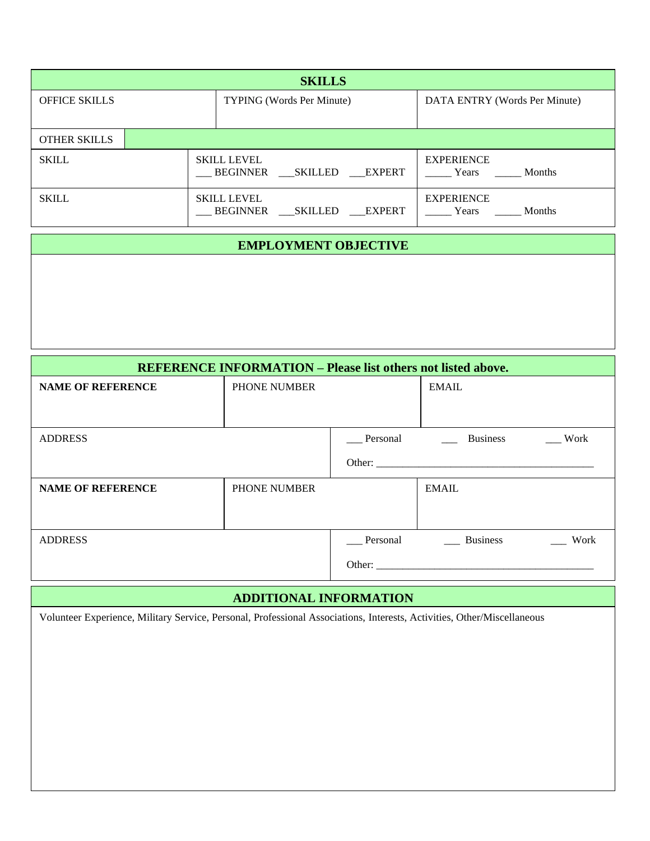| <b>SKILLS</b>        |  |                                                     |                                             |  |
|----------------------|--|-----------------------------------------------------|---------------------------------------------|--|
| <b>OFFICE SKILLS</b> |  | <b>TYPING</b> (Words Per Minute)                    | DATA ENTRY (Words Per Minute)               |  |
|                      |  |                                                     |                                             |  |
| <b>OTHER SKILLS</b>  |  |                                                     |                                             |  |
| <b>SKILL</b>         |  | <b>SKILL LEVEL</b><br>BEGINNER<br>SKILLED EXPERT    | <b>EXPERIENCE</b><br><b>Months</b><br>Years |  |
| <b>SKILL</b>         |  | <b>SKILL LEVEL</b><br>BEGINNER<br>SKILLED<br>EXPERT | <b>EXPERIENCE</b><br><b>Months</b><br>Years |  |

## **EMPLOYMENT OBJECTIVE**

| <b>REFERENCE INFORMATION - Please list others not listed above.</b> |              |          |                 |      |  |
|---------------------------------------------------------------------|--------------|----------|-----------------|------|--|
| <b>NAME OF REFERENCE</b>                                            | PHONE NUMBER |          | <b>EMAIL</b>    |      |  |
|                                                                     |              |          |                 |      |  |
| <b>ADDRESS</b>                                                      |              | Personal | <b>Business</b> | Work |  |
|                                                                     |              |          |                 |      |  |
| <b>NAME OF REFERENCE</b>                                            | PHONE NUMBER |          | <b>EMAIL</b>    |      |  |
|                                                                     |              |          |                 |      |  |
| <b>ADDRESS</b>                                                      |              | Personal | <b>Business</b> | Work |  |
|                                                                     |              |          |                 |      |  |

# **ADDITIONAL INFORMATION**

Volunteer Experience, Military Service, Personal, Professional Associations, Interests, Activities, Other/Miscellaneous